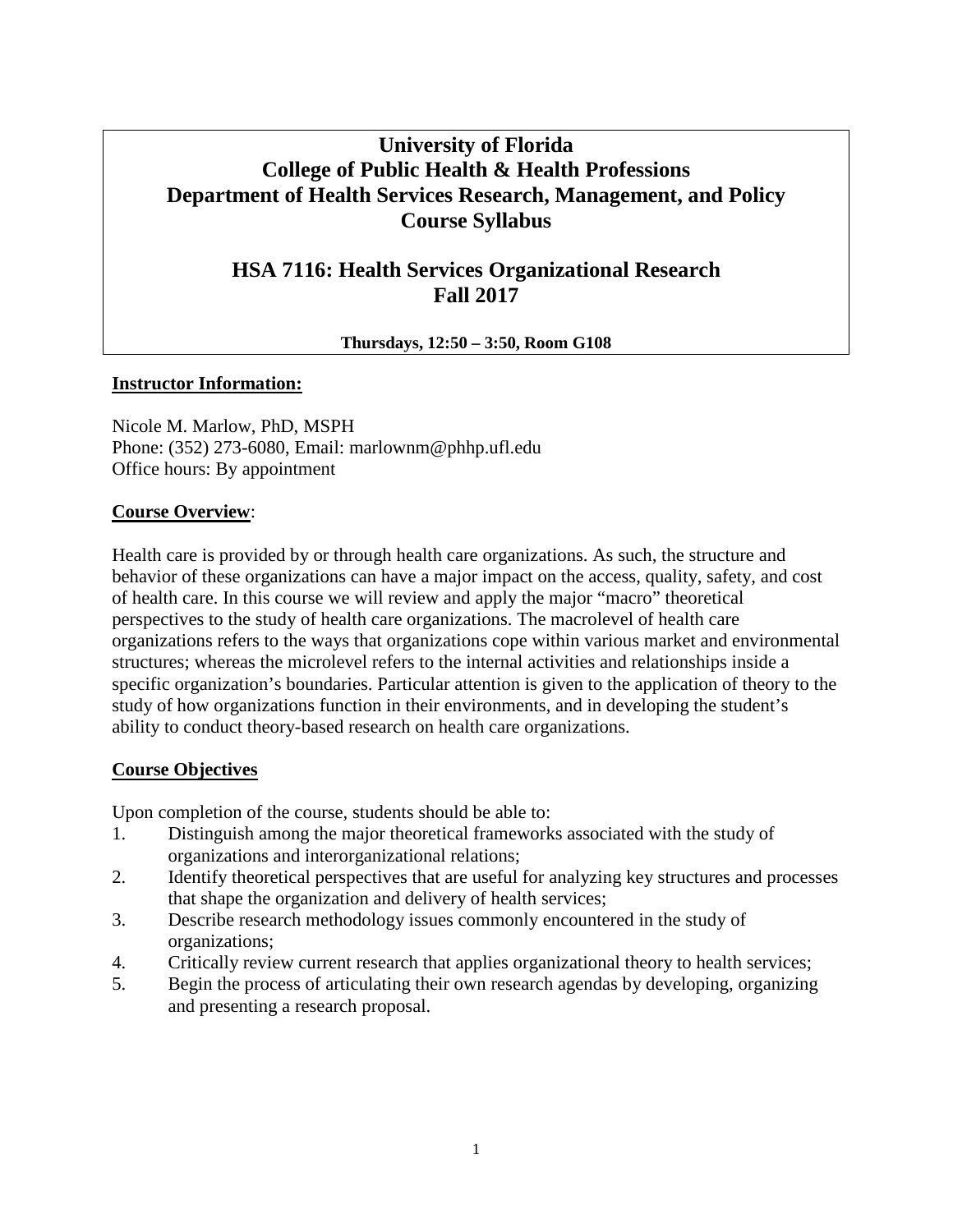# **University of Florida College of Public Health & Health Professions Department of Health Services Research, Management, and Policy Course Syllabus**

# **HSA 7116: Health Services Organizational Research Fall 2017**

**Thursdays, 12:50 – 3:50, Room G108**

### **Instructor Information:**

Nicole M. Marlow, PhD, MSPH Phone: (352) 273-6080, Email: marlownm@phhp.ufl.edu Office hours: By appointment

### **Course Overview**:

Health care is provided by or through health care organizations. As such, the structure and behavior of these organizations can have a major impact on the access, quality, safety, and cost of health care. In this course we will review and apply the major "macro" theoretical perspectives to the study of health care organizations. The macrolevel of health care organizations refers to the ways that organizations cope within various market and environmental structures; whereas the microlevel refers to the internal activities and relationships inside a specific organization's boundaries. Particular attention is given to the application of theory to the study of how organizations function in their environments, and in developing the student's ability to conduct theory-based research on health care organizations.

## **Course Objectives**

Upon completion of the course, students should be able to:

- 1. Distinguish among the major theoretical frameworks associated with the study of organizations and interorganizational relations;
- 2. Identify theoretical perspectives that are useful for analyzing key structures and processes that shape the organization and delivery of health services;
- 3. Describe research methodology issues commonly encountered in the study of organizations;
- 4. Critically review current research that applies organizational theory to health services;
- 5. Begin the process of articulating their own research agendas by developing, organizing and presenting a research proposal.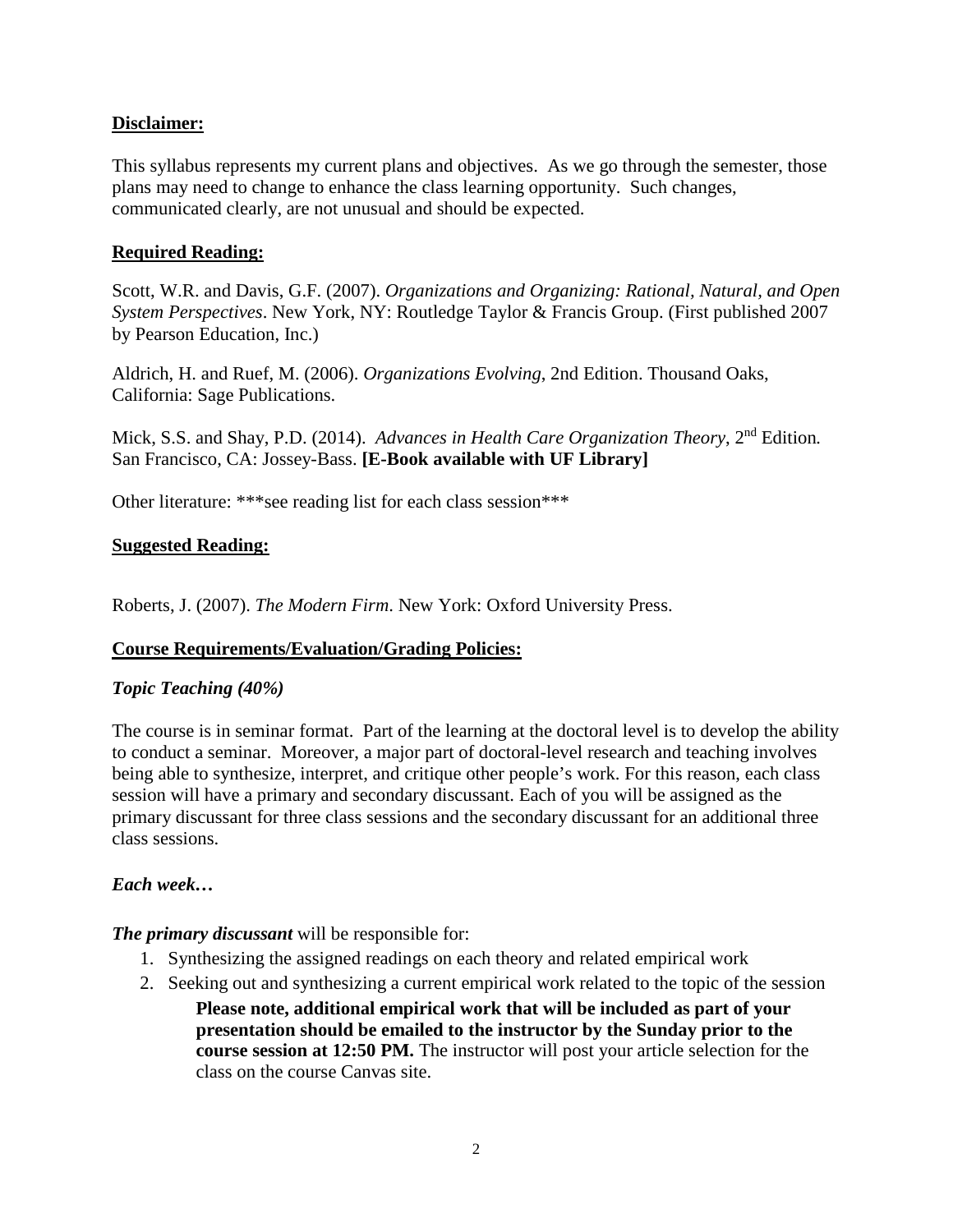## **Disclaimer:**

This syllabus represents my current plans and objectives. As we go through the semester, those plans may need to change to enhance the class learning opportunity. Such changes, communicated clearly, are not unusual and should be expected.

## **Required Reading:**

Scott, W.R. and Davis, G.F. (2007). *Organizations and Organizing: Rational, Natural, and Open System Perspectives*. New York, NY: Routledge Taylor & Francis Group. (First published 2007 by Pearson Education, Inc.)

Aldrich, H. and Ruef, M. (2006). *Organizations Evolving*, 2nd Edition. Thousand Oaks, California: Sage Publications.

Mick, S.S. and Shay, P.D. (2014). *Advances in Health Care Organization Theory*, 2<sup>nd</sup> Edition. San Francisco, CA: Jossey-Bass. **[E-Book available with UF Library]**

Other literature: \*\*\*see reading list for each class session\*\*\*

## **Suggested Reading:**

Roberts, J. (2007). *The Modern Firm*. New York: Oxford University Press.

## **Course Requirements/Evaluation/Grading Policies:**

## *Topic Teaching (40%)*

The course is in seminar format. Part of the learning at the doctoral level is to develop the ability to conduct a seminar. Moreover, a major part of doctoral-level research and teaching involves being able to synthesize, interpret, and critique other people's work. For this reason, each class session will have a primary and secondary discussant. Each of you will be assigned as the primary discussant for three class sessions and the secondary discussant for an additional three class sessions.

## *Each week…*

### *The primary discussant* will be responsible for:

- 1. Synthesizing the assigned readings on each theory and related empirical work
- 2. Seeking out and synthesizing a current empirical work related to the topic of the session

**Please note, additional empirical work that will be included as part of your presentation should be emailed to the instructor by the Sunday prior to the course session at 12:50 PM.** The instructor will post your article selection for the class on the course Canvas site.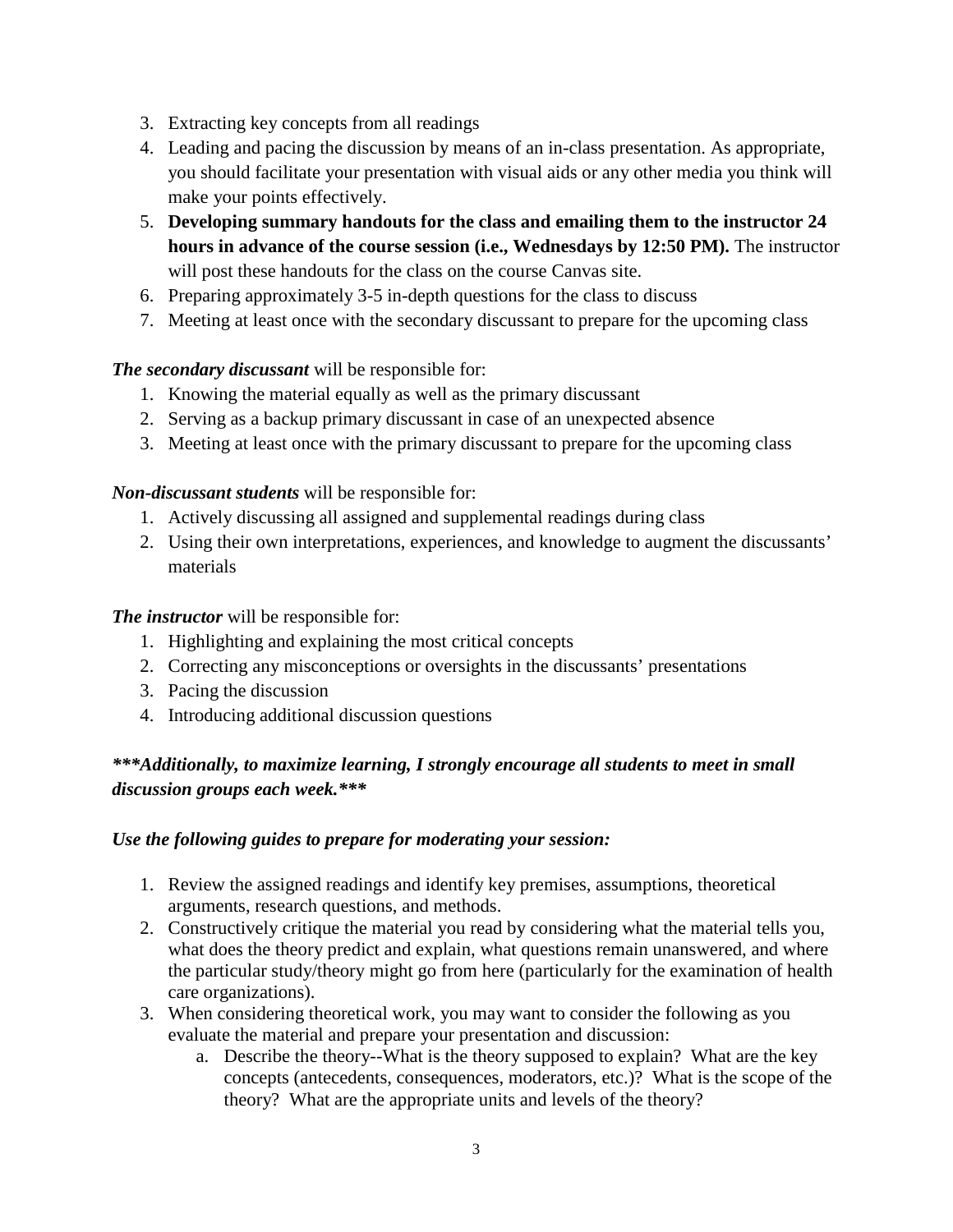- 3. Extracting key concepts from all readings
- 4. Leading and pacing the discussion by means of an in-class presentation. As appropriate, you should facilitate your presentation with visual aids or any other media you think will make your points effectively.
- 5. **Developing summary handouts for the class and emailing them to the instructor 24 hours in advance of the course session (i.e., Wednesdays by 12:50 PM).** The instructor will post these handouts for the class on the course Canvas site.
- 6. Preparing approximately 3-5 in-depth questions for the class to discuss
- 7. Meeting at least once with the secondary discussant to prepare for the upcoming class

## *The secondary discussant* will be responsible for:

- 1. Knowing the material equally as well as the primary discussant
- 2. Serving as a backup primary discussant in case of an unexpected absence
- 3. Meeting at least once with the primary discussant to prepare for the upcoming class

## *Non-discussant students* will be responsible for:

- 1. Actively discussing all assigned and supplemental readings during class
- 2. Using their own interpretations, experiences, and knowledge to augment the discussants' materials

## *The instructor* will be responsible for:

- 1. Highlighting and explaining the most critical concepts
- 2. Correcting any misconceptions or oversights in the discussants' presentations
- 3. Pacing the discussion
- 4. Introducing additional discussion questions

## *\*\*\*Additionally, to maximize learning, I strongly encourage all students to meet in small discussion groups each week.\*\*\**

## *Use the following guides to prepare for moderating your session:*

- 1. Review the assigned readings and identify key premises, assumptions, theoretical arguments, research questions, and methods.
- 2. Constructively critique the material you read by considering what the material tells you, what does the theory predict and explain, what questions remain unanswered, and where the particular study/theory might go from here (particularly for the examination of health care organizations).
- 3. When considering theoretical work, you may want to consider the following as you evaluate the material and prepare your presentation and discussion:
	- a. Describe the theory--What is the theory supposed to explain? What are the key concepts (antecedents, consequences, moderators, etc.)? What is the scope of the theory? What are the appropriate units and levels of the theory?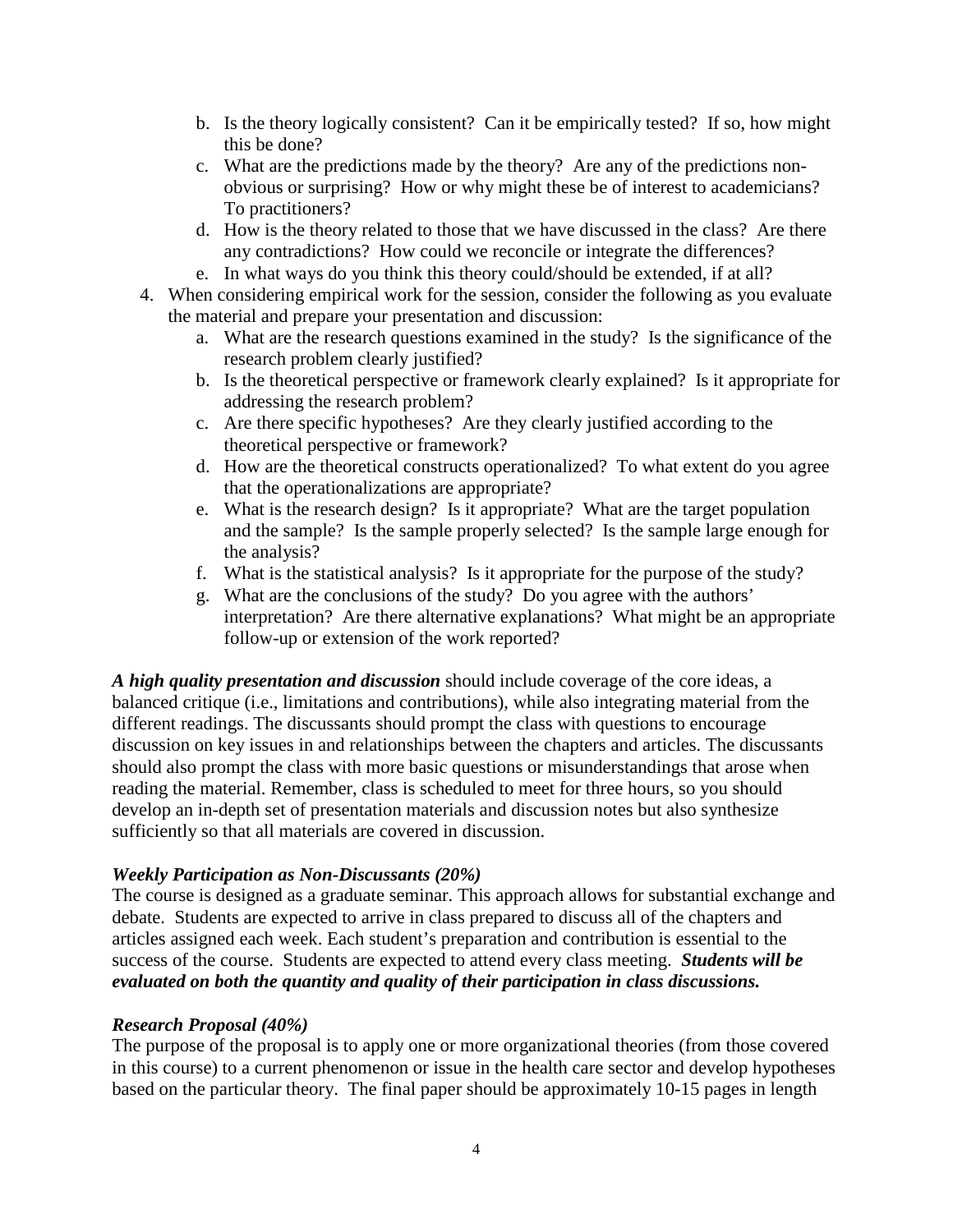- b. Is the theory logically consistent? Can it be empirically tested? If so, how might this be done?
- c. What are the predictions made by the theory? Are any of the predictions nonobvious or surprising? How or why might these be of interest to academicians? To practitioners?
- d. How is the theory related to those that we have discussed in the class? Are there any contradictions? How could we reconcile or integrate the differences?
- e. In what ways do you think this theory could/should be extended, if at all?
- 4. When considering empirical work for the session, consider the following as you evaluate the material and prepare your presentation and discussion:
	- a. What are the research questions examined in the study? Is the significance of the research problem clearly justified?
	- b. Is the theoretical perspective or framework clearly explained? Is it appropriate for addressing the research problem?
	- c. Are there specific hypotheses? Are they clearly justified according to the theoretical perspective or framework?
	- d. How are the theoretical constructs operationalized? To what extent do you agree that the operationalizations are appropriate?
	- e. What is the research design? Is it appropriate? What are the target population and the sample? Is the sample properly selected? Is the sample large enough for the analysis?
	- f. What is the statistical analysis? Is it appropriate for the purpose of the study?
	- g. What are the conclusions of the study? Do you agree with the authors' interpretation? Are there alternative explanations? What might be an appropriate follow-up or extension of the work reported?

*A high quality presentation and discussion* should include coverage of the core ideas, a balanced critique (i.e., limitations and contributions), while also integrating material from the different readings. The discussants should prompt the class with questions to encourage discussion on key issues in and relationships between the chapters and articles. The discussants should also prompt the class with more basic questions or misunderstandings that arose when reading the material. Remember, class is scheduled to meet for three hours, so you should develop an in-depth set of presentation materials and discussion notes but also synthesize sufficiently so that all materials are covered in discussion.

## *Weekly Participation as Non-Discussants (20%)*

The course is designed as a graduate seminar. This approach allows for substantial exchange and debate. Students are expected to arrive in class prepared to discuss all of the chapters and articles assigned each week. Each student's preparation and contribution is essential to the success of the course. Students are expected to attend every class meeting. *Students will be evaluated on both the quantity and quality of their participation in class discussions.*

## *Research Proposal (40%)*

The purpose of the proposal is to apply one or more organizational theories (from those covered in this course) to a current phenomenon or issue in the health care sector and develop hypotheses based on the particular theory. The final paper should be approximately 10-15 pages in length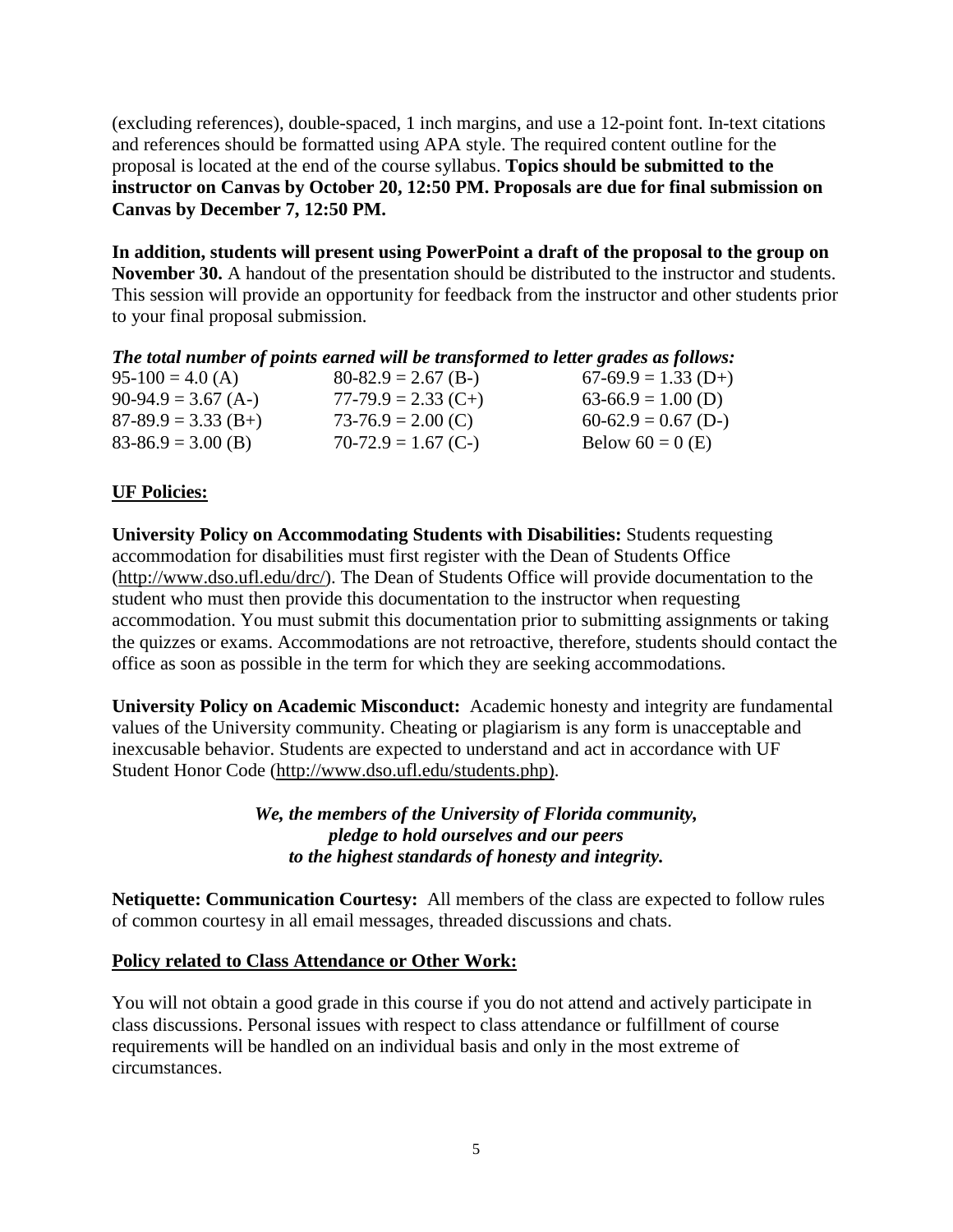(excluding references), double-spaced, 1 inch margins, and use a 12-point font. In-text citations and references should be formatted using APA style. The required content outline for the proposal is located at the end of the course syllabus. **Topics should be submitted to the instructor on Canvas by October 20, 12:50 PM. Proposals are due for final submission on Canvas by December 7, 12:50 PM.**

**In addition, students will present using PowerPoint a draft of the proposal to the group on November 30.** A handout of the presentation should be distributed to the instructor and students. This session will provide an opportunity for feedback from the instructor and other students prior to your final proposal submission.

| $95-100 = 4.0$ (A)    | $80-82.9 = 2.67$ (B-) | $67-69.9 = 1.33$ (D+) |
|-----------------------|-----------------------|-----------------------|
| $90-94.9 = 3.67$ (A-) | $77-79.9 = 2.33$ (C+) | $63-66.9 = 1.00$ (D)  |
| $87-89.9 = 3.33$ (B+) | $73-76.9 = 2.00$ (C)  | $60-62.9 = 0.67$ (D-) |
| $83-86.9 = 3.00$ (B)  | $70-72.9 = 1.67$ (C-) | Below $60 = 0$ (E)    |

## **UF Policies:**

**University Policy on Accommodating Students with Disabilities:** Students requesting accommodation for disabilities must first register with the Dean of Students Office [\(http://www.dso.ufl.edu/drc/\)](http://www.dso.ufl.edu/drc/). The Dean of Students Office will provide documentation to the student who must then provide this documentation to the instructor when requesting accommodation. You must submit this documentation prior to submitting assignments or taking the quizzes or exams. Accommodations are not retroactive, therefore, students should contact the office as soon as possible in the term for which they are seeking accommodations.

**University Policy on Academic Misconduct:** Academic honesty and integrity are fundamental values of the University community. Cheating or plagiarism is any form is unacceptable and inexcusable behavior. Students are expected to understand and act in accordance with UF Student Honor Code [\(http://www.dso.ufl.edu/students.php\)](http://www.dso.ufl.edu/students.php).

> *We, the members of the University of Florida community, pledge to hold ourselves and our peers to the highest standards of honesty and integrity.*

**Netiquette: Communication Courtesy:** All members of the class are expected to follow rules of common courtesy in all email messages, threaded discussions and chats.

## **Policy related to Class Attendance or Other Work:**

You will not obtain a good grade in this course if you do not attend and actively participate in class discussions. Personal issues with respect to class attendance or fulfillment of course requirements will be handled on an individual basis and only in the most extreme of circumstances.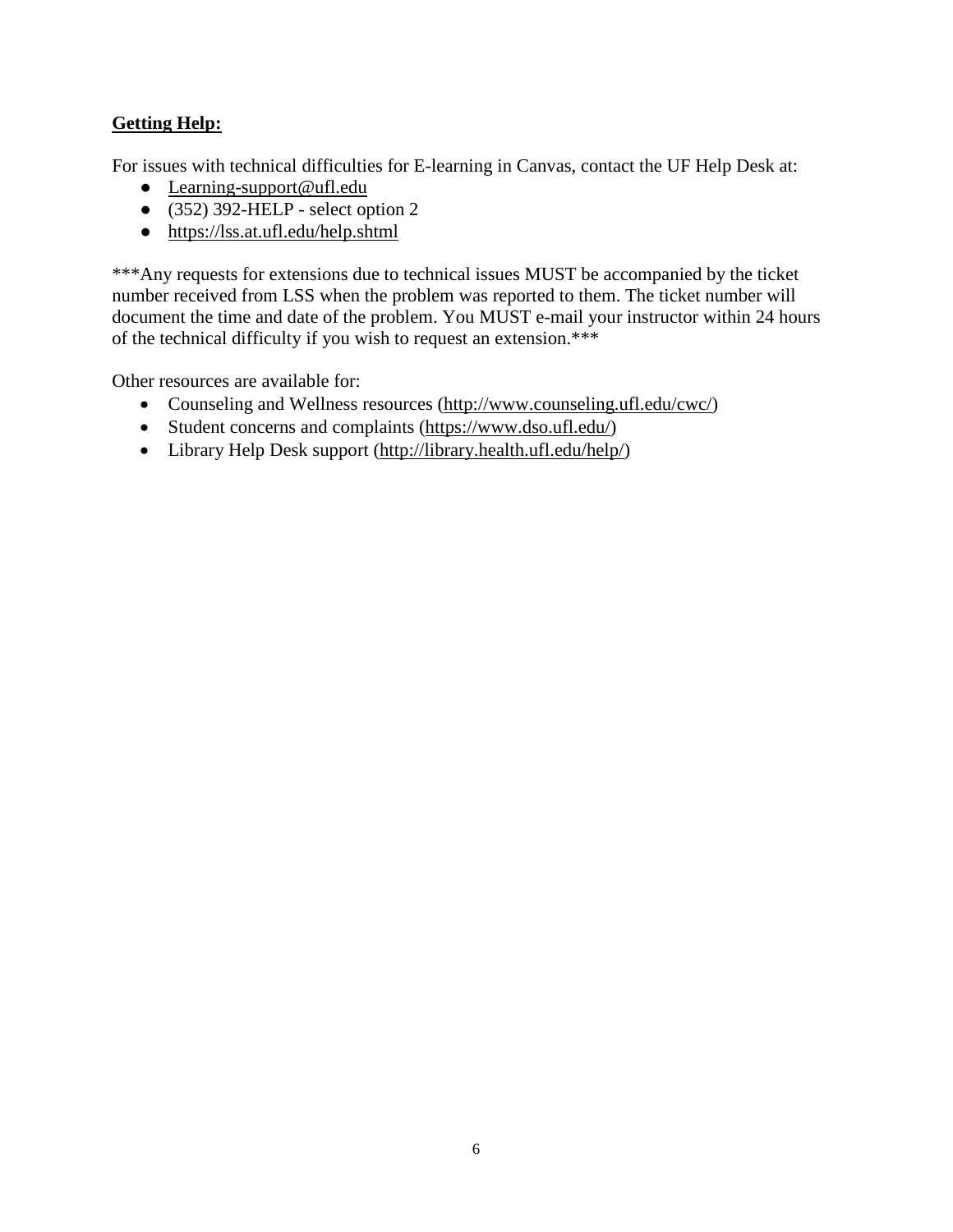## **Getting Help:**

For issues with technical difficulties for E-learning in Canvas, contact the UF Help Desk at:

- [Learning-support@ufl.edu](mailto:Learning-support@ufl.edu)
- $\bullet$  (352) 392-HELP select option 2
- <https://lss.at.ufl.edu/help.shtml>

\*\*\*Any requests for extensions due to technical issues MUST be accompanied by the ticket number received from LSS when the problem was reported to them. The ticket number will document the time and date of the problem. You MUST e-mail your instructor within 24 hours of the technical difficulty if you wish to request an extension.\*\*\*

Other resources are available for:

- Counseling and Wellness resources [\(http://www.counseling.ufl.edu/cwc/\)](http://www.counseling.ufl.edu/cwc/)
- Student concerns and complaints [\(https://www.dso.ufl.edu/\)](https://www.dso.ufl.edu/)
- Library Help Desk support [\(http://library.health.ufl.edu/help/\)](http://library.health.ufl.edu/help/)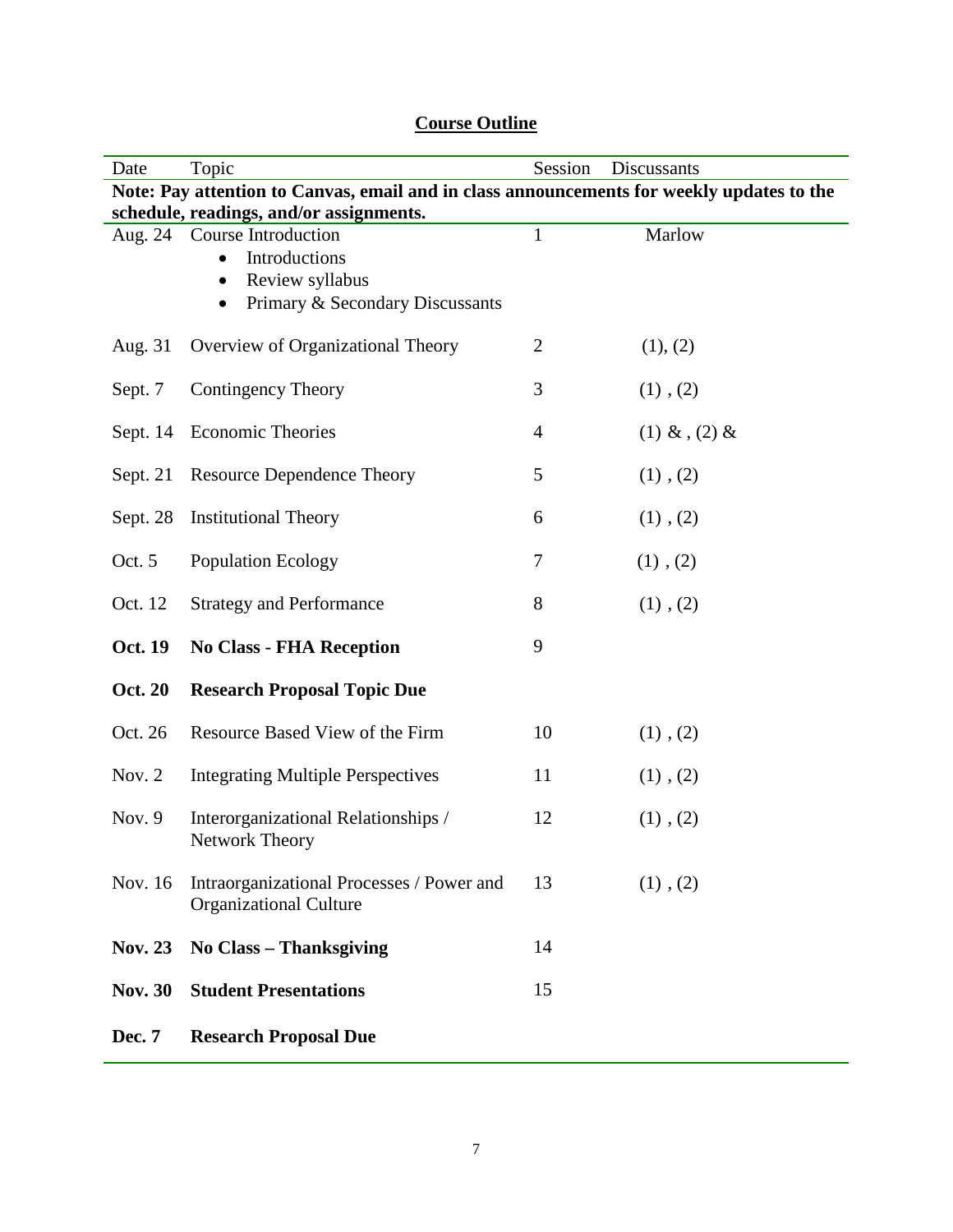| Date                                                                                      | Session<br>Topic<br>Discussants                                                                                 |                |                 |  |  |
|-------------------------------------------------------------------------------------------|-----------------------------------------------------------------------------------------------------------------|----------------|-----------------|--|--|
| Note: Pay attention to Canvas, email and in class announcements for weekly updates to the |                                                                                                                 |                |                 |  |  |
| schedule, readings, and/or assignments.                                                   |                                                                                                                 |                |                 |  |  |
|                                                                                           | Aug. 24 Course Introduction<br>Introductions<br>Review syllabus<br>Primary & Secondary Discussants<br>$\bullet$ | $\mathbf{1}$   | Marlow          |  |  |
| Aug. 31                                                                                   | Overview of Organizational Theory                                                                               | $\overline{c}$ | (1), (2)        |  |  |
| Sept. 7                                                                                   | <b>Contingency Theory</b>                                                                                       | 3              | $(1)$ , $(2)$   |  |  |
| Sept. $14$                                                                                | <b>Economic Theories</b>                                                                                        | $\overline{4}$ | $(1)$ & $(2)$ & |  |  |
| Sept. $21$                                                                                | <b>Resource Dependence Theory</b>                                                                               | 5              | $(1)$ , $(2)$   |  |  |
| Sept. 28                                                                                  | <b>Institutional Theory</b>                                                                                     | 6              | $(1)$ , $(2)$   |  |  |
| Oct. 5                                                                                    | Population Ecology                                                                                              | 7              | $(1)$ , $(2)$   |  |  |
| Oct. 12                                                                                   | <b>Strategy and Performance</b>                                                                                 | 8              | $(1)$ , $(2)$   |  |  |
| Oct. 19                                                                                   | <b>No Class - FHA Reception</b>                                                                                 | 9              |                 |  |  |
| <b>Oct. 20</b>                                                                            | <b>Research Proposal Topic Due</b>                                                                              |                |                 |  |  |
| Oct. 26                                                                                   | Resource Based View of the Firm                                                                                 | 10             | $(1)$ , $(2)$   |  |  |
| Nov. $2$                                                                                  | <b>Integrating Multiple Perspectives</b>                                                                        | 11             | $(1)$ , $(2)$   |  |  |
| Nov. $9$                                                                                  | Interorganizational Relationships /<br>Network Theory                                                           | 12             | $(1)$ , $(2)$   |  |  |
| Nov. 16                                                                                   | Intraorganizational Processes / Power and<br><b>Organizational Culture</b>                                      | 13             | $(1)$ , $(2)$   |  |  |
| <b>Nov. 23</b>                                                                            | No Class – Thanksgiving                                                                                         | 14             |                 |  |  |
| <b>Nov. 30</b>                                                                            | <b>Student Presentations</b>                                                                                    | 15             |                 |  |  |
| Dec. 7                                                                                    | <b>Research Proposal Due</b>                                                                                    |                |                 |  |  |

# **Course Outline**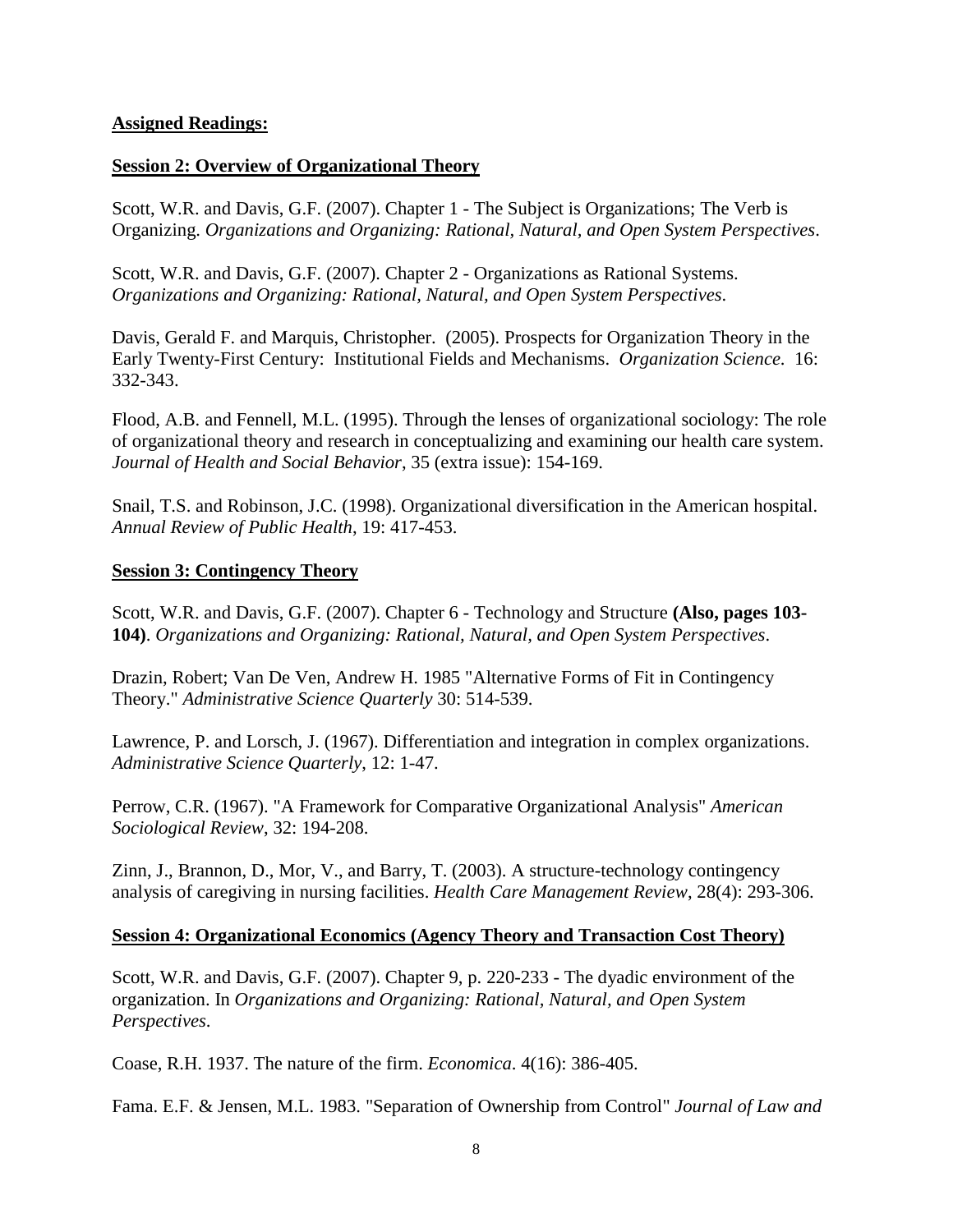### **Assigned Readings:**

### **Session 2: Overview of Organizational Theory**

Scott, W.R. and Davis, G.F. (2007). Chapter 1 - The Subject is Organizations; The Verb is Organizing. *Organizations and Organizing: Rational, Natural, and Open System Perspectives*.

Scott, W.R. and Davis, G.F. (2007). Chapter 2 - Organizations as Rational Systems. *Organizations and Organizing: Rational, Natural, and Open System Perspectives*.

Davis, Gerald F. and Marquis, Christopher. (2005). Prospects for Organization Theory in the Early Twenty-First Century: Institutional Fields and Mechanisms. *Organization Science*. 16: 332-343.

Flood, A.B. and Fennell, M.L. (1995). Through the lenses of organizational sociology: The role of organizational theory and research in conceptualizing and examining our health care system. *Journal of Health and Social Behavior*, 35 (extra issue): 154-169.

Snail, T.S. and Robinson, J.C. (1998). Organizational diversification in the American hospital. *Annual Review of Public Health*, 19: 417-453.

### **Session 3: Contingency Theory**

Scott, W.R. and Davis, G.F. (2007). Chapter 6 - Technology and Structure **(Also, pages 103- 104)**. *Organizations and Organizing: Rational, Natural, and Open System Perspectives*.

Drazin, Robert; Van De Ven, Andrew H. 1985 "Alternative Forms of Fit in Contingency Theory." *Administrative Science Quarterly* 30: 514-539.

Lawrence, P. and Lorsch, J. (1967). Differentiation and integration in complex organizations. *Administrative Science Quarterly*, 12: 1-47.

Perrow, C.R. (1967). "A Framework for Comparative Organizational Analysis" *American Sociological Review*, 32: 194-208.

Zinn, J., Brannon, D., Mor, V., and Barry, T. (2003). A structure-technology contingency analysis of caregiving in nursing facilities. *Health Care Management Review*, 28(4): 293-306.

### **Session 4: Organizational Economics (Agency Theory and Transaction Cost Theory)**

Scott, W.R. and Davis, G.F. (2007). Chapter 9, p. 220-233 - The dyadic environment of the organization. In *Organizations and Organizing: Rational, Natural, and Open System Perspectives*.

Coase, R.H. 1937. The nature of the firm. *Economica*. 4(16): 386-405.

Fama. E.F. & Jensen, M.L. 1983. "Separation of Ownership from Control" *Journal of Law and*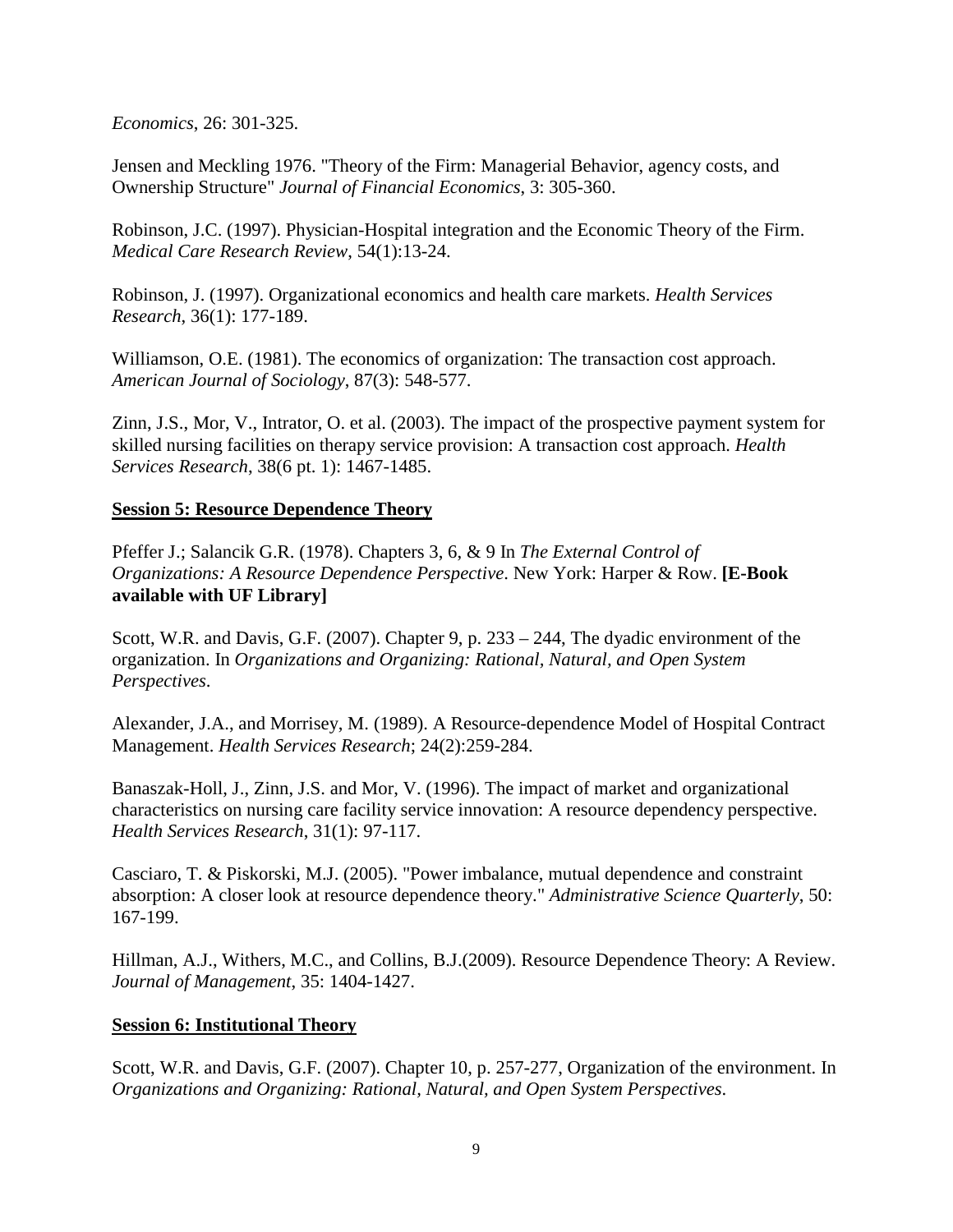*Economics*, 26: 301-325.

Jensen and Meckling 1976. "Theory of the Firm: Managerial Behavior, agency costs, and Ownership Structure" *Journal of Financial Economics*, 3: 305-360.

Robinson, J.C. (1997). Physician-Hospital integration and the Economic Theory of the Firm. *Medical Care Research Review*, 54(1):13-24.

Robinson, J. (1997). Organizational economics and health care markets. *Health Services Research*, 36(1): 177-189.

Williamson, O.E. (1981). The economics of organization: The transaction cost approach. *American Journal of Sociology*, 87(3): 548-577.

Zinn, J.S., Mor, V., Intrator, O. et al. (2003). The impact of the prospective payment system for skilled nursing facilities on therapy service provision: A transaction cost approach. *Health Services Research*, 38(6 pt. 1): 1467-1485.

### **Session 5: Resource Dependence Theory**

Pfeffer J.; Salancik G.R. (1978). Chapters 3, 6, & 9 In *The External Control of Organizations: A Resource Dependence Perspective*. New York: Harper & Row. **[E-Book available with UF Library]**

Scott, W.R. and Davis, G.F. (2007). Chapter 9, p. 233 – 244, The dyadic environment of the organization. In *Organizations and Organizing: Rational, Natural, and Open System Perspectives*.

Alexander, J.A., and Morrisey, M. (1989). A Resource-dependence Model of Hospital Contract Management. *Health Services Research*; 24(2):259-284.

Banaszak-Holl, J., Zinn, J.S. and Mor, V. (1996). The impact of market and organizational characteristics on nursing care facility service innovation: A resource dependency perspective. *Health Services Research*, 31(1): 97-117.

Casciaro, T. & Piskorski, M.J. (2005). "Power imbalance, mutual dependence and constraint absorption: A closer look at resource dependence theory." *Administrative Science Quarterly*, 50: 167-199.

Hillman, A.J., Withers, M.C., and Collins, B.J.(2009). Resource Dependence Theory: A Review. *Journal of Management*, 35: 1404-1427.

### **Session 6: Institutional Theory**

Scott, W.R. and Davis, G.F. (2007). Chapter 10, p. 257-277, Organization of the environment. In *Organizations and Organizing: Rational, Natural, and Open System Perspectives*.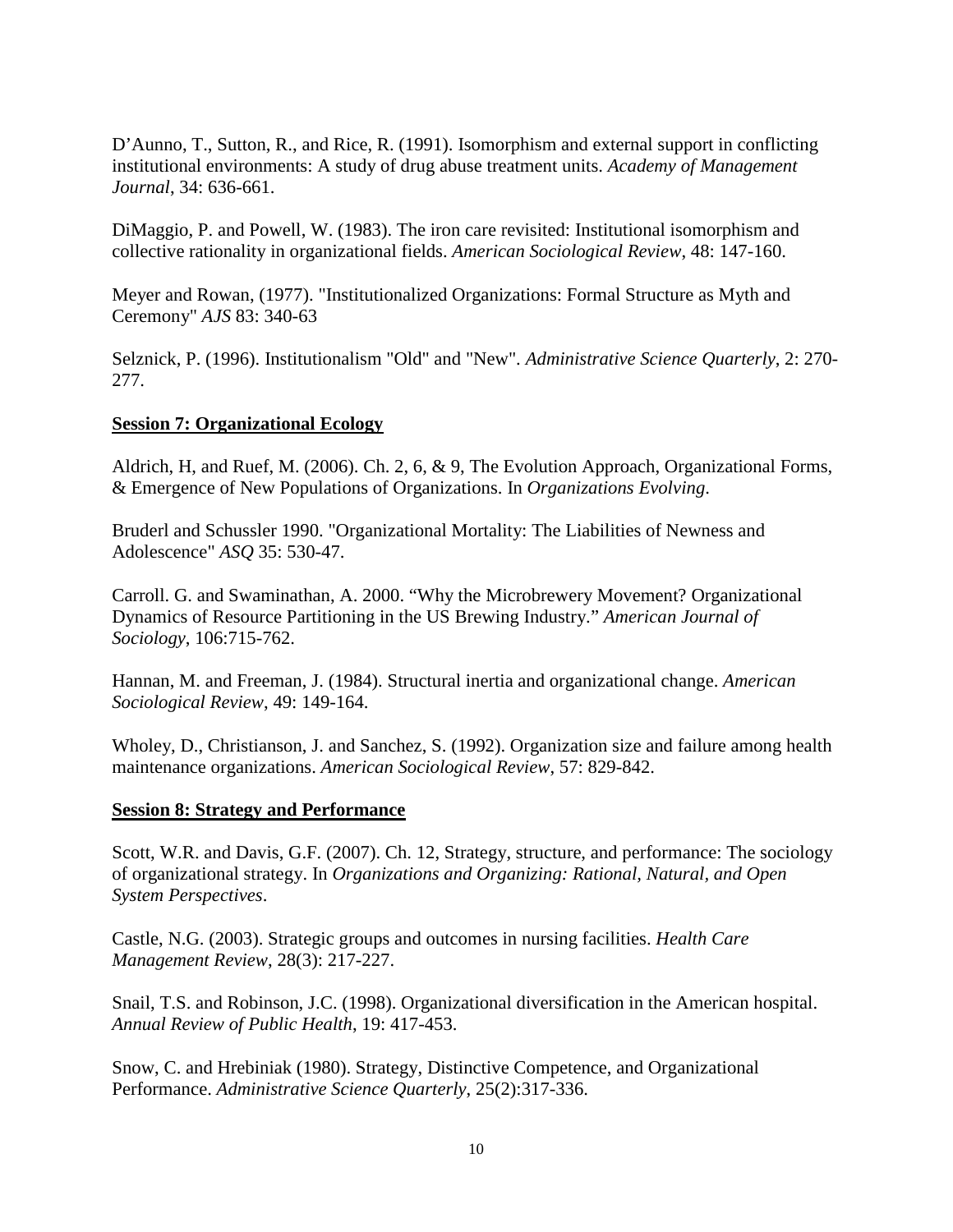D'Aunno, T., Sutton, R., and Rice, R. (1991). Isomorphism and external support in conflicting institutional environments: A study of drug abuse treatment units. *Academy of Management Journal*, 34: 636-661.

DiMaggio, P. and Powell, W. (1983). The iron care revisited: Institutional isomorphism and collective rationality in organizational fields. *American Sociological Review*, 48: 147-160.

Meyer and Rowan, (1977). "Institutionalized Organizations: Formal Structure as Myth and Ceremony" *AJS* 83: 340-63

Selznick, P. (1996). Institutionalism "Old" and "New". *Administrative Science Quarterly*, 2: 270- 277.

### **Session 7: Organizational Ecology**

Aldrich, H, and Ruef, M. (2006). Ch. 2, 6, & 9, The Evolution Approach, Organizational Forms, & Emergence of New Populations of Organizations. In *Organizations Evolving*.

Bruderl and Schussler 1990. "Organizational Mortality: The Liabilities of Newness and Adolescence" *ASQ* 35: 530-47.

Carroll. G. and Swaminathan, A. 2000. "Why the Microbrewery Movement? Organizational Dynamics of Resource Partitioning in the US Brewing Industry." *American Journal of Sociology*, 106:715-762.

Hannan, M. and Freeman, J. (1984). Structural inertia and organizational change. *American Sociological Review*, 49: 149-164.

Wholey, D., Christianson, J. and Sanchez, S. (1992). Organization size and failure among health maintenance organizations. *American Sociological Review*, 57: 829-842.

### **Session 8: Strategy and Performance**

Scott, W.R. and Davis, G.F. (2007). Ch. 12, Strategy, structure, and performance: The sociology of organizational strategy. In *Organizations and Organizing: Rational, Natural, and Open System Perspectives*.

Castle, N.G. (2003). Strategic groups and outcomes in nursing facilities. *Health Care Management Review*, 28(3): 217-227.

Snail, T.S. and Robinson, J.C. (1998). Organizational diversification in the American hospital. *Annual Review of Public Health*, 19: 417-453.

Snow, C. and Hrebiniak (1980). Strategy, Distinctive Competence, and Organizational Performance. *Administrative Science Quarterly*, 25(2):317-336.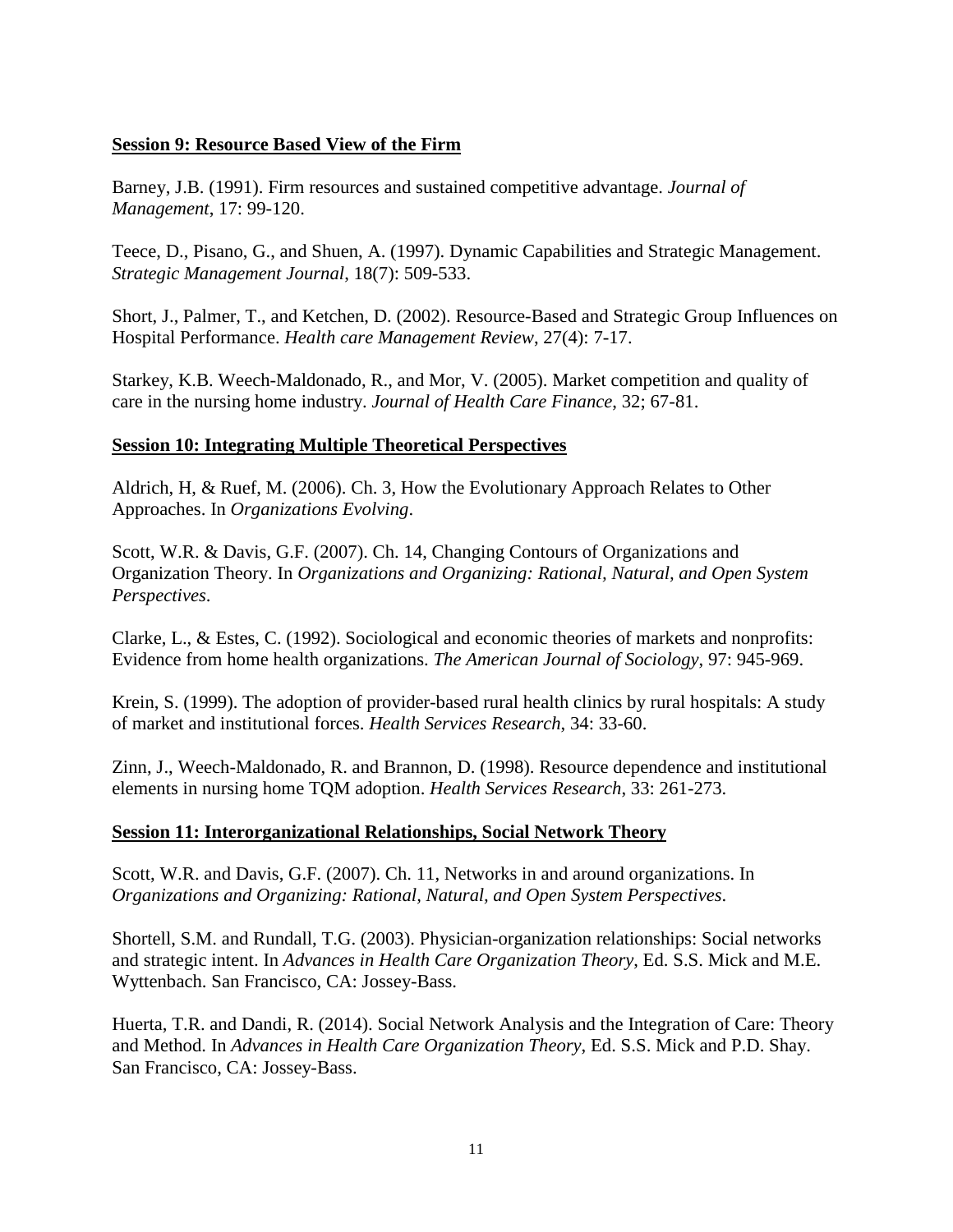### **Session 9: Resource Based View of the Firm**

Barney, J.B. (1991). Firm resources and sustained competitive advantage. *Journal of Management*, 17: 99-120.

Teece, D., Pisano, G., and Shuen, A. (1997). Dynamic Capabilities and Strategic Management. *Strategic Management Journal*, 18(7): 509-533.

Short, J., Palmer, T., and Ketchen, D. (2002). Resource-Based and Strategic Group Influences on Hospital Performance. *Health care Management Review*, 27(4): 7-17.

Starkey, K.B. Weech-Maldonado, R., and Mor, V. (2005). Market competition and quality of care in the nursing home industry. *Journal of Health Care Finance*, 32; 67-81.

### **Session 10: Integrating Multiple Theoretical Perspectives**

Aldrich, H, & Ruef, M. (2006). Ch. 3, How the Evolutionary Approach Relates to Other Approaches. In *Organizations Evolving*.

Scott, W.R. & Davis, G.F. (2007). Ch. 14, Changing Contours of Organizations and Organization Theory. In *Organizations and Organizing: Rational, Natural, and Open System Perspectives*.

Clarke, L., & Estes, C. (1992). Sociological and economic theories of markets and nonprofits: Evidence from home health organizations. *The American Journal of Sociology*, 97: 945-969.

Krein, S. (1999). The adoption of provider-based rural health clinics by rural hospitals: A study of market and institutional forces. *Health Services Research*, 34: 33-60.

Zinn, J., Weech-Maldonado, R. and Brannon, D. (1998). Resource dependence and institutional elements in nursing home TQM adoption. *Health Services Research*, 33: 261-273.

### **Session 11: Interorganizational Relationships, Social Network Theory**

Scott, W.R. and Davis, G.F. (2007). Ch. 11, Networks in and around organizations. In *Organizations and Organizing: Rational, Natural, and Open System Perspectives*.

Shortell, S.M. and Rundall, T.G. (2003). Physician-organization relationships: Social networks and strategic intent. In *Advances in Health Care Organization Theory*, Ed. S.S. Mick and M.E. Wyttenbach. San Francisco, CA: Jossey-Bass.

Huerta, T.R. and Dandi, R. (2014). Social Network Analysis and the Integration of Care: Theory and Method. In *Advances in Health Care Organization Theory*, Ed. S.S. Mick and P.D. Shay. San Francisco, CA: Jossey-Bass.